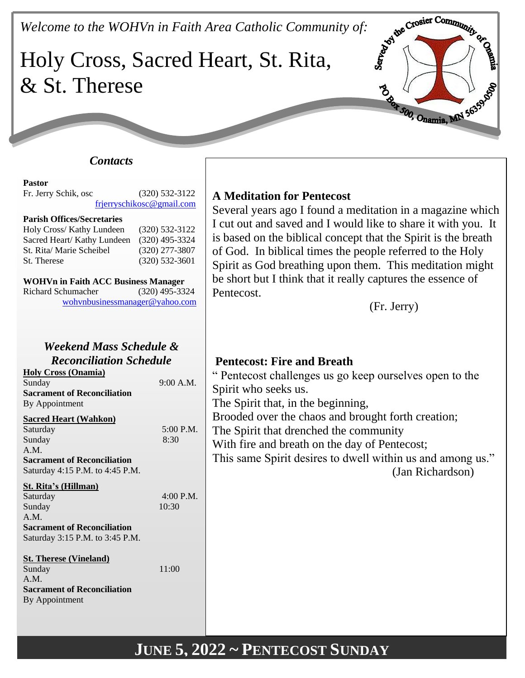*Welcome to the WOHVn in Faith Area Catholic Community of:*<br>Holy Cross, Sacred Hoose Culture 1 **COOMMING** Holy Cross, Sacred Heart, St. Rita, & St. Therese B Box 500, Onamia, MN 5635

### *Contacts*

#### **Pastor**

Fr. Jerry Schik, osc (320) 532-3122 [frjerryschikosc@gmail.com](mailto:frjerryschikosc@gmail.com)

#### **Parish Offices/Secretaries**

| Holy Cross/ Kathy Lundeen   | $(320)$ 532-3122 |
|-----------------------------|------------------|
| Sacred Heart/ Kathy Lundeen | $(320)$ 495-3324 |
| St. Rita/ Marie Scheibel    | $(320)$ 277-3807 |
| St. Therese                 | $(320)$ 532-3601 |

| <b>WOHVn in Faith ACC Business Manager</b> |                  |
|--------------------------------------------|------------------|
| <b>Richard Schumacher</b>                  | $(320)$ 495-3324 |

[wohvnbusinessmanager@yahoo.com](mailto:wohvnbusinessmanager@yahoo.com)

### *Weekend Mass Schedule & Reconciliation Schedule*

**Holy Cross (Onamia)** Sunday 9:00 A.M. **Sacrament of Reconciliation** By Appointment

#### **Sacred Heart (Wahkon)**

| Saturday                           | 5:00 P.M. |
|------------------------------------|-----------|
| Sunday                             | 8:30      |
| A.M.                               |           |
| <b>Sacrament of Reconciliation</b> |           |
| Saturday 4:15 P.M. to 4:45 P.M.    |           |
| St. Rita's (Hillman)               |           |
| Saturday                           | 4:00 P.M. |
| $\Omega = 1$                       | 10.20     |

Sunday 10:30 A.M. **Sacrament of Reconciliation**

Saturday 3:15 P.M. to 3:45 P.M.

#### **St. Therese (Vineland)**

Sunday 11:00 A.M. **Sacrament of Reconciliation** By Appointment

## **A Meditation for Pentecost**

Several years ago I found a meditation in a magazine which I cut out and saved and I would like to share it with you. It is based on the biblical concept that the Spirit is the breath of God. In biblical times the people referred to the Holy Spirit as God breathing upon them. This meditation might be short but I think that it really captures the essence of Pentecost.

(Fr. Jerry)

## **Pentecost: Fire and Breath**

" Pentecost challenges us go keep ourselves open to the Spirit who seeks us.

The Spirit that, in the beginning,

Brooded over the chaos and brought forth creation;

The Spirit that drenched the community

With fire and breath on the day of Pentecost;

This same Spirit desires to dwell within us and among us." (Jan Richardson)

# **JUNE 5, 2022 ~ PENTECOST SUNDAY**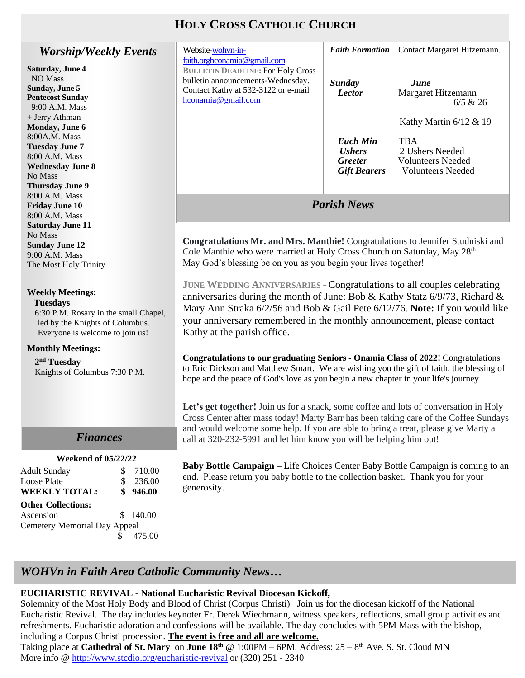## **HOLY CROSS CATHOLIC CHURCH**

### *Worship/Weekly Events*

**Saturday, June 4** NO Mass **Sunday, June 5 Pentecost Sunday** 9:00 A.M. Mass + Jerry Athman **Monday, June 6** 8:00A.M. Mass **Tuesday June 7** 8:00 A.M. Mass **Wednesday June 8** No Mass **Thursday June 9** 8:00 A.M. Mass **Friday June 10** 8:00 A.M. Mass **Saturday June 11** No Mass **Sunday June 12** 9:00 A.M. Mass The Most Holy Trinity

#### **Weekly Meetings: Tuesdays**

6:30 P.M. Rosary in the small Chapel, led by the Knights of Columbus. Everyone is welcome to join us!

#### **Monthly Meetings:**

**2 nd Tuesday** Knights of Columbus 7:30 P.M.

## *Finances*

#### *Finances* **Weekend of 05/22/22**

| <b>Adult Sunday</b>                 | \$<br>710.00 |
|-------------------------------------|--------------|
| <b>Loose Plate</b>                  | \$<br>236.00 |
| <b>WEEKLY TOTAL:</b>                | \$946.00     |
| <b>Other Collections:</b>           |              |
| Ascension                           | \$140.00     |
| <b>Cemetery Memorial Day Appeal</b> |              |
|                                     | 475.00       |
|                                     |              |

| Website-wohvn-in-<br>faith.orghconamia@gmail.com                                                                                           |                                                                                  | <b>Faith Formation</b> Contact Margaret Hitzemann.                             |
|--------------------------------------------------------------------------------------------------------------------------------------------|----------------------------------------------------------------------------------|--------------------------------------------------------------------------------|
| <b>BULLETIN DEADLINE: For Holy Cross</b><br>bulletin announcements-Wednesday.<br>Contact Kathy at 532-3122 or e-mail<br>hconamia@gmail.com | <b>Sunday</b><br><b>Lector</b>                                                   | June<br>Margaret Hitzemann<br>6/5 & 26                                         |
|                                                                                                                                            |                                                                                  | Kathy Martin $6/12 \& 19$                                                      |
|                                                                                                                                            | <b>Euch Min</b><br><i><b>Ushers</b></i><br><b>Greeter</b><br><b>Gift Bearers</b> | <b>TBA</b><br>2 Ushers Needed<br>Volunteers Needed<br><b>Volunteers</b> Needed |
|                                                                                                                                            | <b>Parish News</b>                                                               |                                                                                |

**Congratulations Mr. and Mrs. Manthie!** Congratulations to Jennifer Studniski and Cole Manthie who were married at Holy Cross Church on Saturday, May 28th. May God's blessing be on you as you begin your lives together!

**JUNE WEDDING ANNIVERSARIES -** Congratulations to all couples celebrating anniversaries during the month of June: Bob & Kathy Statz 6/9/73, Richard & Mary Ann Straka 6/2/56 and Bob & Gail Pete 6/12/76. **Note:** If you would like your anniversary remembered in the monthly announcement, please contact Kathy at the parish office.

**Congratulations to our graduating Seniors - Onamia Class of 2022!** Congratulations to Eric Dickson and Matthew Smart. We are wishing you the gift of faith, the blessing of hope and the peace of God's love as you begin a new chapter in your life's journey.

Let's get together! Join us for a snack, some coffee and lots of conversation in Holy Cross Center after mass today! Marty Barr has been taking care of the Coffee Sundays and would welcome some help. If you are able to bring a treat, please give Marty a call at 320-232-5991 and let him know you will be helping him out!

**Baby Bottle Campaign –** Life Choices Center Baby Bottle Campaign is coming to an end. Please return you baby bottle to the collection basket. Thank you for your generosity.

## *WOHVn in Faith Area Catholic Community News…*

#### **EUCHARISTIC REVIVAL - National Eucharistic Revival Diocesan Kickoff,**

Solemnity of the Most Holy Body and Blood of Christ (Corpus Christi) Join us for the diocesan kickoff of the National Eucharistic Revival. The day includes keynoter Fr. Derek Wiechmann, witness speakers, reflections, small group activities and refreshments. Eucharistic adoration and confessions will be available. The day concludes with 5PM Mass with the bishop, including a Corpus Christi procession. **The event is free and all are welcome.**

Taking place at **Cathedral of St. Mary** on **June 18th** @ 1:00PM – 6PM. Address: 25 – 8 th Ave. S. St. Cloud MN More info @<http://www.stcdio.org/eucharistic-revival> or (320) 251 - 2340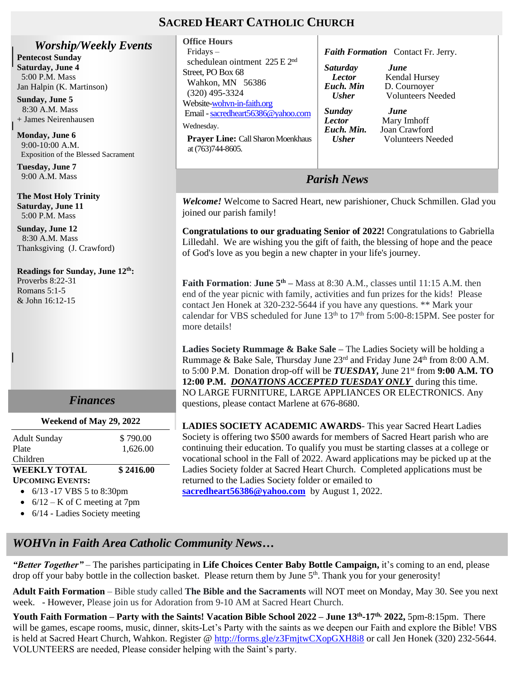## **SACRED HEART CATHOLIC CHURCH**

*Worship/Weekly Events* **Pentecost Sunday**

**Saturday, June 4** 5:00 P.M. Mass Jan Halpin (K. Martinson)

**Sunday, June 5** 8:30 A.M. Mass + James Neirenhausen

**Monday, June 6** 9:00-10:00 A.M. Exposition of the Blessed Sacrament

**Tuesday, June 7** 9:00 A.M. Mass

**The Most Holy Trinity Saturday, June 11** 5:00 P.M. Mass

**Sunday, June 12** 8:30 A.M. Mass Thanksgiving (J. Crawford)

**Readings for Sunday, June 12th:** Proverbs 8:22-31 Romans 5:1-5 & John 16:12-15

### *Finances*

#### **Weekend of May 29, 2022**

| <b>Adult Sunday</b>                         | \$790.00  |
|---------------------------------------------|-----------|
| Plate                                       | 1.626.00  |
| Children                                    |           |
| <b>WEEKLY TOTAL</b>                         | \$2416.00 |
| <b>UPCOMING EVENTS:</b>                     |           |
| $\epsilon$ (12.17 VDC $\epsilon$ to 0.20 nm |           |

- 6/13 -17 VBS 5 to 8:30pm
- $6/12 K$  of C meeting at 7pm
- 6/14 Ladies Society meeting

| <b>Office Hours</b>                                                                                                                                                                                                                                                 |                                                                                                                        |                                                                                                                                                     |
|---------------------------------------------------------------------------------------------------------------------------------------------------------------------------------------------------------------------------------------------------------------------|------------------------------------------------------------------------------------------------------------------------|-----------------------------------------------------------------------------------------------------------------------------------------------------|
| $Fridays -$                                                                                                                                                                                                                                                         | <b>Faith Formation</b> Contact Fr. Jerry.                                                                              |                                                                                                                                                     |
| schedulean ointment $225 \text{ E } 2^{\text{nd}}$<br>Street, PO Box 68<br>Wahkon, MN 56386<br>$(320)$ 495-3324<br>Website-wohyn-in-faith.org<br>Email - sacredheart56386@yahoo.com<br>Wednesday.<br><b>Prayer Line: Call Sharon Moenkhaus</b><br>at (763)744-8605. | <i>Saturday</i><br><b>Lector</b><br>Euch. Min<br><b>Usher</b><br>Sunday<br><b>Lector</b><br>Euch. Min.<br><b>Usher</b> | <i>June</i><br>Kendal Hursey<br>D. Cournoyer<br><b>Volunteers Needed</b><br><i>June</i><br>Mary Imhoff<br>Joan Crawford<br><b>Volunteers</b> Needed |
|                                                                                                                                                                                                                                                                     |                                                                                                                        |                                                                                                                                                     |

*Parish News*

*Welcome!* Welcome to Sacred Heart, new parishioner, Chuck Schmillen. Glad you joined our parish family!

**Congratulations to our graduating Senior of 2022!** Congratulations to Gabriella Lilledahl. We are wishing you the gift of faith, the blessing of hope and the peace of God's love as you begin a new chapter in your life's journey.

**Faith Formation: June**  $5^{th}$  **– Mass at 8:30 A.M., classes until 11:15 A.M. then** end of the year picnic with family, activities and fun prizes for the kids! Please contact Jen Honek at 320-232-5644 if you have any questions. \*\* Mark your calendar for VBS scheduled for June  $13<sup>th</sup>$  to  $17<sup>th</sup>$  from 5:00-8:15PM. See poster for more details!

**Ladies Society Rummage & Bake Sale –** The Ladies Society will be holding a Rummage & Bake Sale, Thursday June  $23<sup>rd</sup>$  and Friday June  $24<sup>th</sup>$  from 8:00 A.M. to 5:00 P.M. Donation drop-off will be *TUESDAY*, June 21<sup>st</sup> from 9:00 A.M. TO **12:00 P.M.** *DONATIONS ACCEPTED TUESDAY ONLY* during this time. NO LARGE FURNITURE, LARGE APPLIANCES OR ELECTRONICS. Any questions, please contact Marlene at 676-8680.

**LADIES SOCIETY ACADEMIC AWARDS**- This year Sacred Heart Ladies Society is offering two \$500 awards for members of Sacred Heart parish who are continuing their education. To qualify you must be starting classes at a college or vocational school in the Fall of 2022. Award applications may be picked up at the Ladies Society folder at Sacred Heart Church. Completed applications must be returned to the Ladies Society folder or emailed to **[sacredheart56386@yahoo.com](mailto:sacredheart56386@yahoo.com)** by August 1, 2022.

## *WOHVn in Faith Area Catholic Community News…*

*"Better Together"* – The parishes participating in **Life Choices Center Baby Bottle Campaign,** it's coming to an end, please drop off your baby bottle in the collection basket. Please return them by June 5<sup>th</sup>. Thank you for your generosity!

**Adult Faith Formation** – Bible study called **The Bible and the Sacraments** will NOT meet on Monday, May 30. See you next week. - However, Please join us for Adoration from 9-10 AM at Sacred Heart Church.

้<br>เt **Youth Faith Formation – Party with the Saints! Vacation Bible School 2022 – June 13th -17th, 2022,** 5pm-8:15pm. There will be games, escape rooms, music, dinner, skits-Let's Party with the saints as we deepen our Faith and explore the Bible! VBS is held at Sacred Heart Church, Wahkon. Register @<http://forms.gle/z3FmjtwCXopGXH8i8> or call Jen Honek (320) 232-5644. VOLUNTEERS are needed, Please consider helping with the Saint's party.